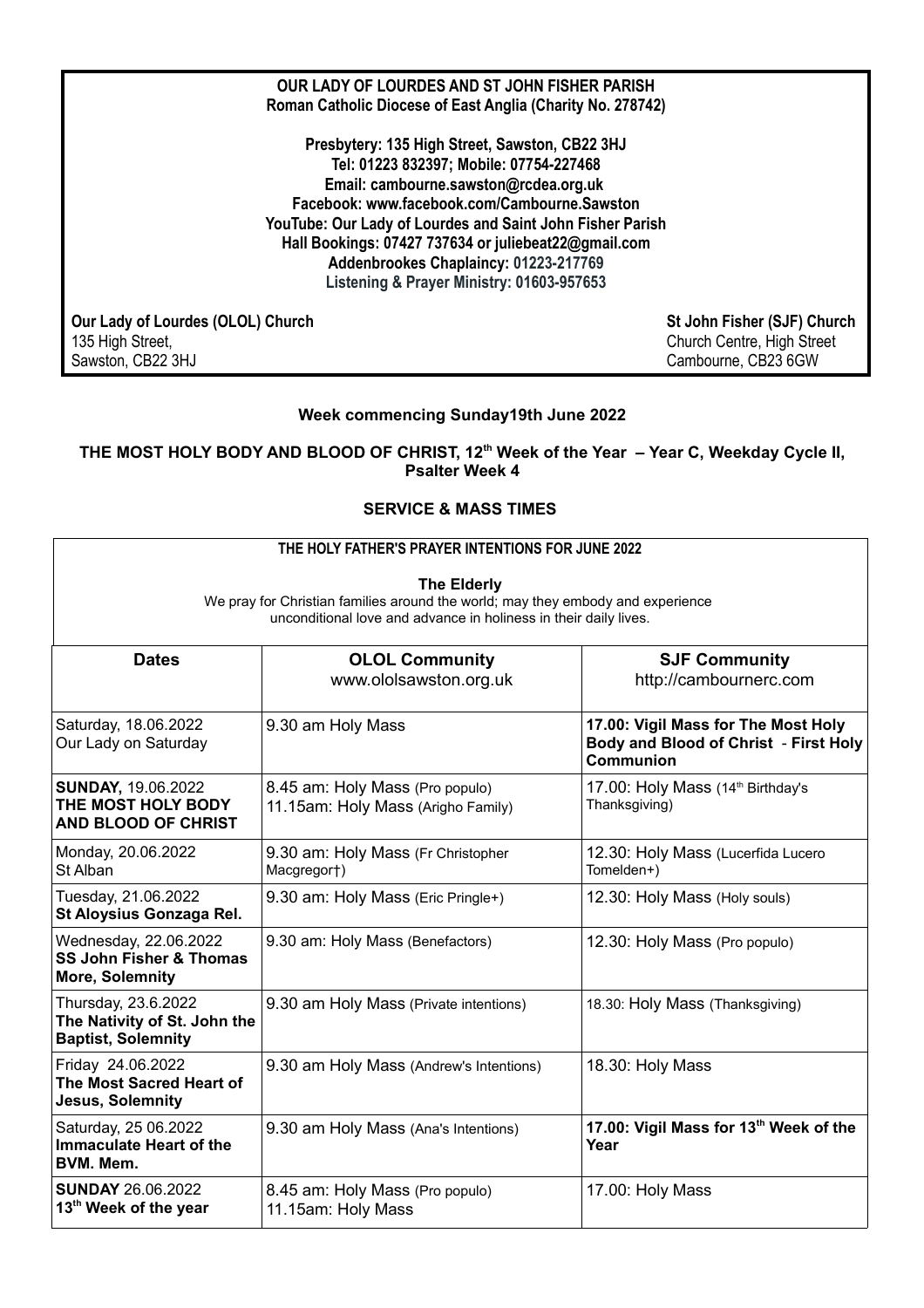| OUR LADY OF LOURDES AND ST JOHN FISHER PARISH<br>Roman Catholic Diocese of East Anglia (Charity No. 278742)                                                                                                                                                                                                                                                                                   |                                                                                  |
|-----------------------------------------------------------------------------------------------------------------------------------------------------------------------------------------------------------------------------------------------------------------------------------------------------------------------------------------------------------------------------------------------|----------------------------------------------------------------------------------|
| Presbytery: 135 High Street, Sawston, CB22 3HJ<br>Tel: 01223 832397; Mobile: 07754-227468<br>Email: cambourne.sawston@rcdea.org.uk<br>Facebook: www.facebook.com/Cambourne.Sawston<br>YouTube: Our Lady of Lourdes and Saint John Fisher Parish<br>Hall Bookings: 07427 737634 or juliebeat22@gmail.com<br>Addenbrookes Chaplaincy: 01223-217769<br>Listening & Prayer Ministry: 01603-957653 |                                                                                  |
| Our Lady of Lourdes (OLOL) Church<br>135 High Street,<br>Sawston, CB22 3HJ                                                                                                                                                                                                                                                                                                                    | St John Fisher (SJF) Church<br>Church Centre, High Street<br>Cambourne, CB23 6GW |

# **Week commencing Sunday19th June 2022**

## **THE MOST HOLY BODY AND BLOOD OF CHRIST, 12th Week of the Year – Year C, Weekday Cycle II, Psalter Week 4**

# **SERVICE & MASS TIMES**

# **THE HOLY FATHER'S PRAYER INTENTIONS FOR JUNE 2022**

**The Elderly**

We pray for Christian families around the world; may they embody and experience unconditional love and advance in holiness in their daily lives.

| <b>Dates</b>                                                                     | <b>OLOL Community</b><br>www.ololsawston.org.uk                       | <b>SJF Community</b><br>http://cambournerc.com                                                   |
|----------------------------------------------------------------------------------|-----------------------------------------------------------------------|--------------------------------------------------------------------------------------------------|
| Saturday, 18.06.2022<br>Our Lady on Saturday                                     | 9.30 am Holy Mass                                                     | 17.00: Vigil Mass for The Most Holy<br>Body and Blood of Christ - First Holy<br><b>Communion</b> |
| <b>SUNDAY, 19.06.2022</b><br>THE MOST HOLY BODY<br><b>AND BLOOD OF CHRIST</b>    | 8.45 am: Holy Mass (Pro populo)<br>11.15am: Holy Mass (Arigho Family) | 17.00: Holy Mass (14th Birthday's<br>Thanksgiving)                                               |
| Monday, 20.06.2022<br>St Alban                                                   | 9.30 am: Holy Mass (Fr Christopher<br>Macgregort)                     | 12.30: Holy Mass (Lucerfida Lucero<br>Tomelden+)                                                 |
| Tuesday, 21.06.2022<br>St Aloysius Gonzaga Rel.                                  | 9.30 am: Holy Mass (Eric Pringle+)                                    | 12.30: Holy Mass (Holy souls)                                                                    |
| Wednesday, 22.06.2022<br><b>SS John Fisher &amp; Thomas</b><br>More, Solemnity   | 9.30 am: Holy Mass (Benefactors)                                      | 12.30: Holy Mass (Pro populo)                                                                    |
| Thursday, 23.6.2022<br>The Nativity of St. John the<br><b>Baptist, Solemnity</b> | 9.30 am Holy Mass (Private intentions)                                | 18.30: Holy Mass (Thanksgiving)                                                                  |
| Friday 24.06.2022<br>The Most Sacred Heart of<br>Jesus, Solemnity                | 9.30 am Holy Mass (Andrew's Intentions)                               | 18.30: Holy Mass                                                                                 |
| Saturday, 25 06.2022<br><b>Immaculate Heart of the</b><br>BVM. Mem.              | 9.30 am Holy Mass (Ana's Intentions)                                  | 17.00: Vigil Mass for 13th Week of the<br>Year                                                   |
| <b>SUNDAY 26.06.2022</b><br>13 <sup>th</sup> Week of the year                    | 8.45 am: Holy Mass (Pro populo)<br>11.15am: Holy Mass                 | 17.00: Holy Mass                                                                                 |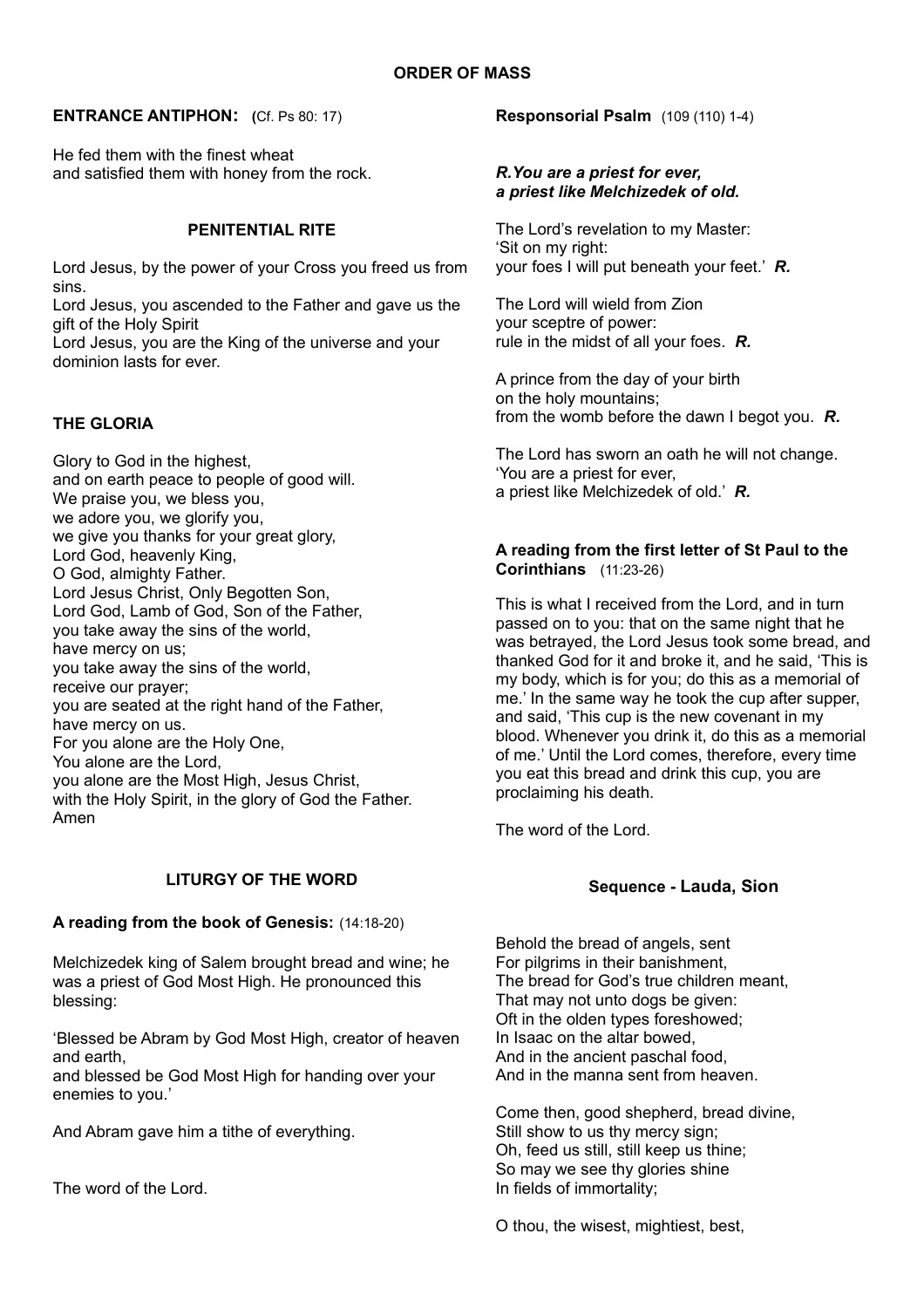## **ENTRANCE ANTIPHON: (**Cf. Ps 80: 17)

He fed them with the finest wheat and satisfied them with honey from the rock.

## **PENITENTIAL RITE**

Lord Jesus, by the power of your Cross you freed us from sins.

Lord Jesus, you ascended to the Father and gave us the gift of the Holy Spirit

Lord Jesus, you are the King of the universe and your dominion lasts for ever.

### **THE GLORIA**

Glory to God in the highest, and on earth peace to people of good will. We praise you, we bless you, we adore you, we glorify you, we give you thanks for your great glory. Lord God, heavenly King, O God, almighty Father. Lord Jesus Christ, Only Begotten Son, Lord God, Lamb of God, Son of the Father, you take away the sins of the world, have mercy on us; you take away the sins of the world, receive our prayer; you are seated at the right hand of the Father, have mercy on us. For you alone are the Holy One, You alone are the Lord, you alone are the Most High, Jesus Christ, with the Holy Spirit, in the glory of God the Father. Amen

# **LITURGY OF THE WORD**

### **A reading from the book of Genesis:** (14:18-20)

Melchizedek king of Salem brought bread and wine; he was a priest of God Most High. He pronounced this blessing:

'Blessed be Abram by God Most High, creator of heaven and earth,

and blessed be God Most High for handing over your enemies to you.'

And Abram gave him a tithe of everything.

The word of the Lord.

**Responsorial Psalm** (109 (110) 1-4)

### *R.You are a priest for ever, a priest like Melchizedek of old.*

The Lord's revelation to my Master: 'Sit on my right: your foes I will put beneath your feet.' *R.*

The Lord will wield from Zion your sceptre of power: rule in the midst of all your foes. *R.*

A prince from the day of your birth on the holy mountains; from the womb before the dawn I begot you. *R.*

The Lord has sworn an oath he will not change. 'You are a priest for ever, a priest like Melchizedek of old.' *R.*

## **A reading from the first letter of St Paul to the Corinthians** (11:23-26)

This is what I received from the Lord, and in turn passed on to you: that on the same night that he was betrayed, the Lord Jesus took some bread, and thanked God for it and broke it, and he said, 'This is my body, which is for you; do this as a memorial of me.' In the same way he took the cup after supper, and said, 'This cup is the new covenant in my blood. Whenever you drink it, do this as a memorial of me.' Until the Lord comes, therefore, every time you eat this bread and drink this cup, you are proclaiming his death.

The word of the Lord.

# **Sequence - Lauda, Sion**

Behold the bread of angels, sent For pilgrims in their banishment, The bread for God's true children meant, That may not unto dogs be given: Oft in the olden types foreshowed; In Isaac on the altar bowed, And in the ancient paschal food, And in the manna sent from heaven.

Come then, good shepherd, bread divine, Still show to us thy mercy sign; Oh, feed us still, still keep us thine; So may we see thy glories shine In fields of immortality;

O thou, the wisest, mightiest, best,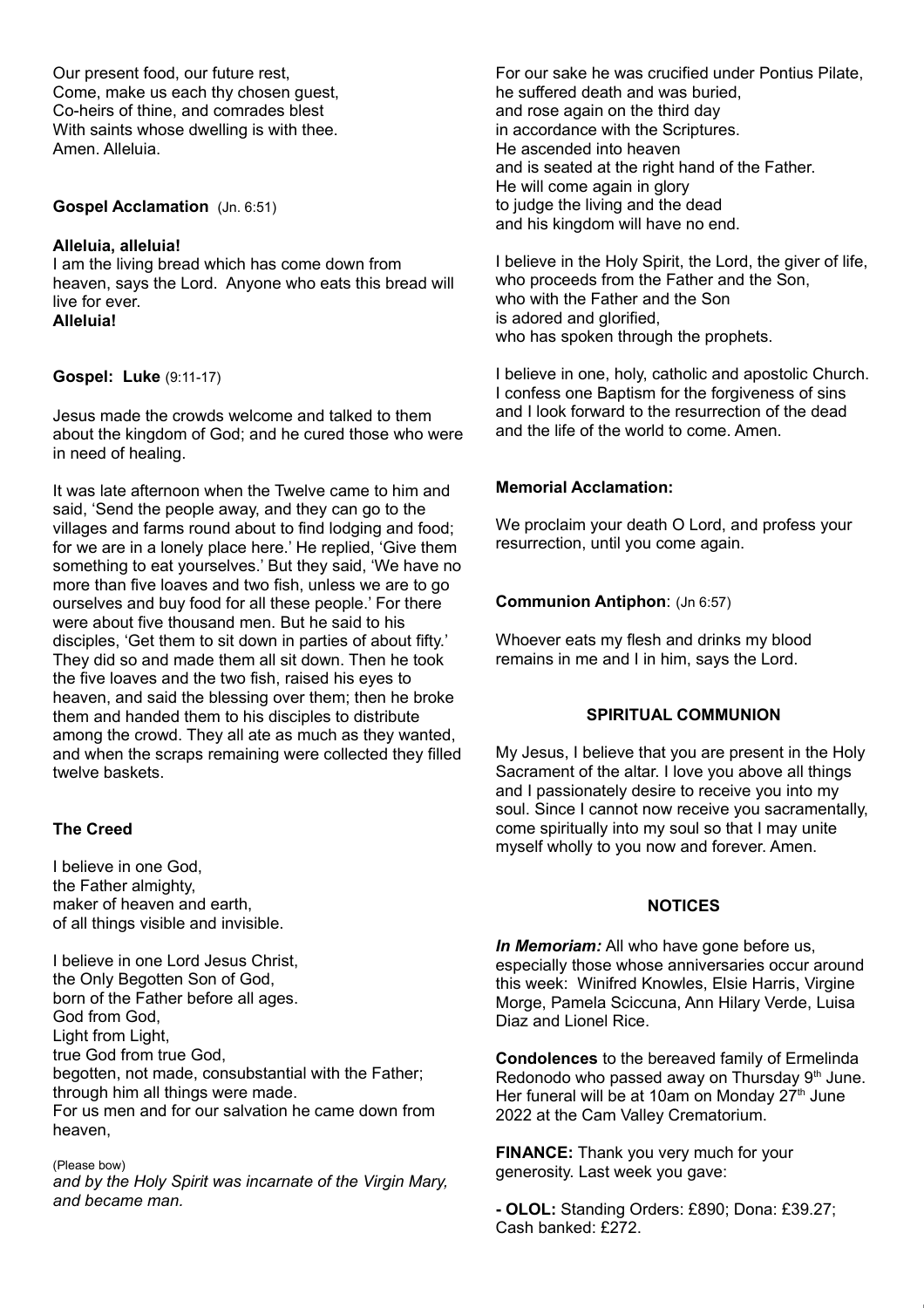Our present food, our future rest, Come, make us each thy chosen guest, Co-heirs of thine, and comrades blest With saints whose dwelling is with thee. Amen. Alleluia.

### **Gospel Acclamation** (Jn. 6:51)

### **Alleluia, alleluia!**

I am the living bread which has come down from heaven, says the Lord. Anyone who eats this bread will live for ever. **Alleluia!**

**Gospel: Luke** (9:11-17)

Jesus made the crowds welcome and talked to them about the kingdom of God; and he cured those who were in need of healing.

It was late afternoon when the Twelve came to him and said, 'Send the people away, and they can go to the villages and farms round about to find lodging and food; for we are in a lonely place here.' He replied, 'Give them something to eat yourselves.' But they said, 'We have no more than five loaves and two fish, unless we are to go ourselves and buy food for all these people.' For there were about five thousand men. But he said to his disciples, 'Get them to sit down in parties of about fifty.' They did so and made them all sit down. Then he took the five loaves and the two fish, raised his eyes to heaven, and said the blessing over them; then he broke them and handed them to his disciples to distribute among the crowd. They all ate as much as they wanted, and when the scraps remaining were collected they filled twelve baskets.

### **The Creed**

I believe in one God, the Father almighty, maker of heaven and earth, of all things visible and invisible.

I believe in one Lord Jesus Christ, the Only Begotten Son of God, born of the Father before all ages. God from God, Light from Light, true God from true God, begotten, not made, consubstantial with the Father; through him all things were made. For us men and for our salvation he came down from heaven,

#### (Please bow)

*and by the Holy Spirit was incarnate of the Virgin Mary, and became man.*

For our sake he was crucified under Pontius Pilate, he suffered death and was buried, and rose again on the third day in accordance with the Scriptures. He ascended into heaven and is seated at the right hand of the Father. He will come again in glory to judge the living and the dead and his kingdom will have no end.

I believe in the Holy Spirit, the Lord, the giver of life, who proceeds from the Father and the Son, who with the Father and the Son is adored and glorified, who has spoken through the prophets.

I believe in one, holy, catholic and apostolic Church. I confess one Baptism for the forgiveness of sins and I look forward to the resurrection of the dead and the life of the world to come. Amen.

### **Memorial Acclamation:**

We proclaim your death O Lord, and profess your resurrection, until you come again.

### **Communion Antiphon**: (Jn 6:57)

Whoever eats my flesh and drinks my blood remains in me and I in him, says the Lord.

#### **SPIRITUAL COMMUNION**

My Jesus, I believe that you are present in the Holy Sacrament of the altar. I love you above all things and I passionately desire to receive you into my soul. Since I cannot now receive you sacramentally, come spiritually into my soul so that I may unite myself wholly to you now and forever. Amen.

#### **NOTICES**

*In Memoriam:* All who have gone before us, especially those whose anniversaries occur around this week: Winifred Knowles, Elsie Harris, Virgine Morge, Pamela Sciccuna, Ann Hilary Verde, Luisa Diaz and Lionel Rice.

**Condolences** to the bereaved family of Ermelinda Redonodo who passed away on Thursday  $9<sup>th</sup>$  June. Her funeral will be at 10am on Monday  $27<sup>th</sup>$  June 2022 at the Cam Valley Crematorium.

**FINANCE:** Thank you very much for your generosity. Last week you gave:

**- OLOL:** Standing Orders: £890; Dona: £39.27; Cash banked: £272.